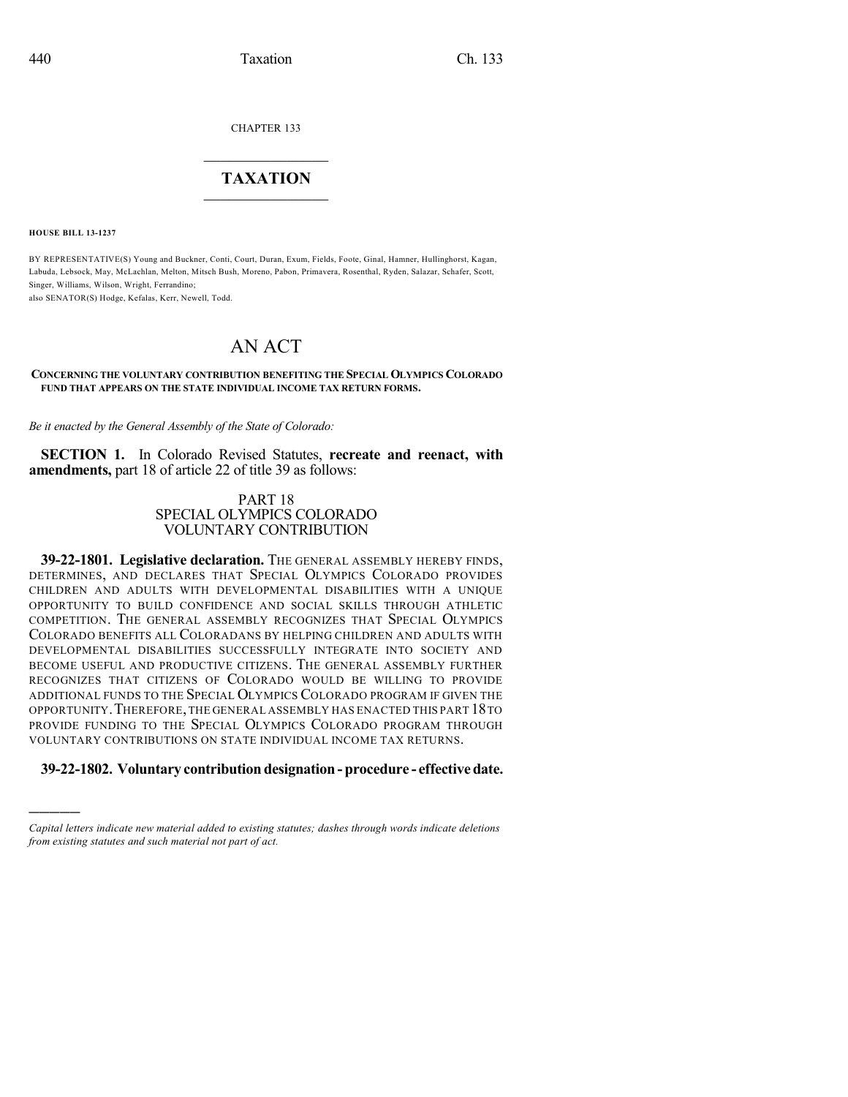CHAPTER 133

## $\mathcal{L}_\text{max}$  . The set of the set of the set of the set of the set of the set of the set of the set of the set of the set of the set of the set of the set of the set of the set of the set of the set of the set of the set **TAXATION**  $\_$

**HOUSE BILL 13-1237**

)))))

BY REPRESENTATIVE(S) Young and Buckner, Conti, Court, Duran, Exum, Fields, Foote, Ginal, Hamner, Hullinghorst, Kagan, Labuda, Lebsock, May, McLachlan, Melton, Mitsch Bush, Moreno, Pabon, Primavera, Rosenthal, Ryden, Salazar, Schafer, Scott, Singer, Williams, Wilson, Wright, Ferrandino;

also SENATOR(S) Hodge, Kefalas, Kerr, Newell, Todd.

# AN ACT

#### **CONCERNING THE VOLUNTARY CONTRIBUTION BENEFITING THE SPECIAL OLYMPICS COLORADO FUND THAT APPEARS ON THE STATE INDIVIDUAL INCOME TAX RETURN FORMS.**

*Be it enacted by the General Assembly of the State of Colorado:*

**SECTION 1.** In Colorado Revised Statutes, **recreate and reenact, with amendments,** part 18 of article 22 of title 39 as follows:

#### PART 18 SPECIAL OLYMPICS COLORADO VOLUNTARY CONTRIBUTION

**39-22-1801. Legislative declaration.** THE GENERAL ASSEMBLY HEREBY FINDS, DETERMINES, AND DECLARES THAT SPECIAL OLYMPICS COLORADO PROVIDES CHILDREN AND ADULTS WITH DEVELOPMENTAL DISABILITIES WITH A UNIQUE OPPORTUNITY TO BUILD CONFIDENCE AND SOCIAL SKILLS THROUGH ATHLETIC COMPETITION. THE GENERAL ASSEMBLY RECOGNIZES THAT SPECIAL OLYMPICS COLORADO BENEFITS ALL COLORADANS BY HELPING CHILDREN AND ADULTS WITH DEVELOPMENTAL DISABILITIES SUCCESSFULLY INTEGRATE INTO SOCIETY AND BECOME USEFUL AND PRODUCTIVE CITIZENS. THE GENERAL ASSEMBLY FURTHER RECOGNIZES THAT CITIZENS OF COLORADO WOULD BE WILLING TO PROVIDE ADDITIONAL FUNDS TO THE SPECIAL OLYMPICS COLORADO PROGRAM IF GIVEN THE OPPORTUNITY.THEREFORE,THE GENERAL ASSEMBLY HAS ENACTED THIS PART 18TO PROVIDE FUNDING TO THE SPECIAL OLYMPICS COLORADO PROGRAM THROUGH VOLUNTARY CONTRIBUTIONS ON STATE INDIVIDUAL INCOME TAX RETURNS.

#### **39-22-1802. Voluntary contribution designation - procedure - effectivedate.**

*Capital letters indicate new material added to existing statutes; dashes through words indicate deletions from existing statutes and such material not part of act.*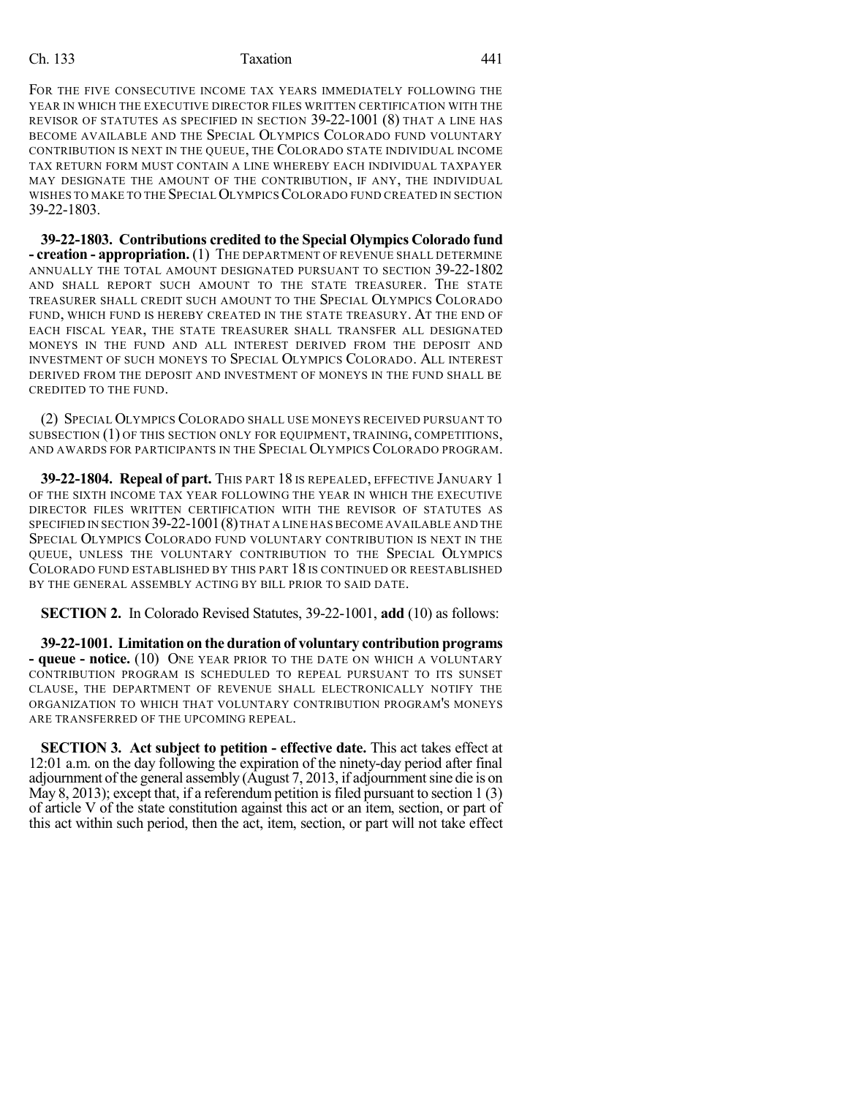### Ch. 133 Taxation 441

FOR THE FIVE CONSECUTIVE INCOME TAX YEARS IMMEDIATELY FOLLOWING THE YEAR IN WHICH THE EXECUTIVE DIRECTOR FILES WRITTEN CERTIFICATION WITH THE REVISOR OF STATUTES AS SPECIFIED IN SECTION 39-22-1001 (8) THAT A LINE HAS BECOME AVAILABLE AND THE SPECIAL OLYMPICS COLORADO FUND VOLUNTARY CONTRIBUTION IS NEXT IN THE QUEUE, THE COLORADO STATE INDIVIDUAL INCOME TAX RETURN FORM MUST CONTAIN A LINE WHEREBY EACH INDIVIDUAL TAXPAYER MAY DESIGNATE THE AMOUNT OF THE CONTRIBUTION, IF ANY, THE INDIVIDUAL WISHES TO MAKE TO THE SPECIAL OLYMPICS COLORADO FUND CREATED IN SECTION 39-22-1803.

**39-22-1803. Contributions credited to the Special Olympics Colorado fund - creation - appropriation.** (1) THE DEPARTMENT OF REVENUE SHALL DETERMINE ANNUALLY THE TOTAL AMOUNT DESIGNATED PURSUANT TO SECTION 39-22-1802 AND SHALL REPORT SUCH AMOUNT TO THE STATE TREASURER. THE STATE TREASURER SHALL CREDIT SUCH AMOUNT TO THE SPECIAL OLYMPICS COLORADO FUND, WHICH FUND IS HEREBY CREATED IN THE STATE TREASURY. AT THE END OF EACH FISCAL YEAR, THE STATE TREASURER SHALL TRANSFER ALL DESIGNATED MONEYS IN THE FUND AND ALL INTEREST DERIVED FROM THE DEPOSIT AND INVESTMENT OF SUCH MONEYS TO SPECIAL OLYMPICS COLORADO. ALL INTEREST DERIVED FROM THE DEPOSIT AND INVESTMENT OF MONEYS IN THE FUND SHALL BE CREDITED TO THE FUND.

(2) SPECIAL OLYMPICS COLORADO SHALL USE MONEYS RECEIVED PURSUANT TO SUBSECTION (1) OF THIS SECTION ONLY FOR EQUIPMENT, TRAINING, COMPETITIONS, AND AWARDS FOR PARTICIPANTS IN THE SPECIAL OLYMPICS COLORADO PROGRAM.

**39-22-1804. Repeal of part.** THIS PART 18 IS REPEALED, EFFECTIVE JANUARY 1 OF THE SIXTH INCOME TAX YEAR FOLLOWING THE YEAR IN WHICH THE EXECUTIVE DIRECTOR FILES WRITTEN CERTIFICATION WITH THE REVISOR OF STATUTES AS SPECIFIED IN SECTION 39-22-1001(8)THAT A LINE HAS BECOME AVAILABLE AND THE SPECIAL OLYMPICS COLORADO FUND VOLUNTARY CONTRIBUTION IS NEXT IN THE QUEUE, UNLESS THE VOLUNTARY CONTRIBUTION TO THE SPECIAL OLYMPICS COLORADO FUND ESTABLISHED BY THIS PART 18 IS CONTINUED OR REESTABLISHED BY THE GENERAL ASSEMBLY ACTING BY BILL PRIOR TO SAID DATE.

**SECTION 2.** In Colorado Revised Statutes, 39-22-1001, **add** (10) as follows:

**39-22-1001. Limitation on the duration of voluntary contribution programs - queue - notice.** (10) ONE YEAR PRIOR TO THE DATE ON WHICH A VOLUNTARY CONTRIBUTION PROGRAM IS SCHEDULED TO REPEAL PURSUANT TO ITS SUNSET CLAUSE, THE DEPARTMENT OF REVENUE SHALL ELECTRONICALLY NOTIFY THE ORGANIZATION TO WHICH THAT VOLUNTARY CONTRIBUTION PROGRAM'S MONEYS ARE TRANSFERRED OF THE UPCOMING REPEAL.

**SECTION 3. Act subject to petition - effective date.** This act takes effect at 12:01 a.m. on the day following the expiration of the ninety-day period after final adjournment of the general assembly (August 7, 2013, if adjournmentsine die is on May 8, 2013); except that, if a referendum petition is filed pursuant to section  $1(3)$ of article V of the state constitution against this act or an item, section, or part of this act within such period, then the act, item, section, or part will not take effect